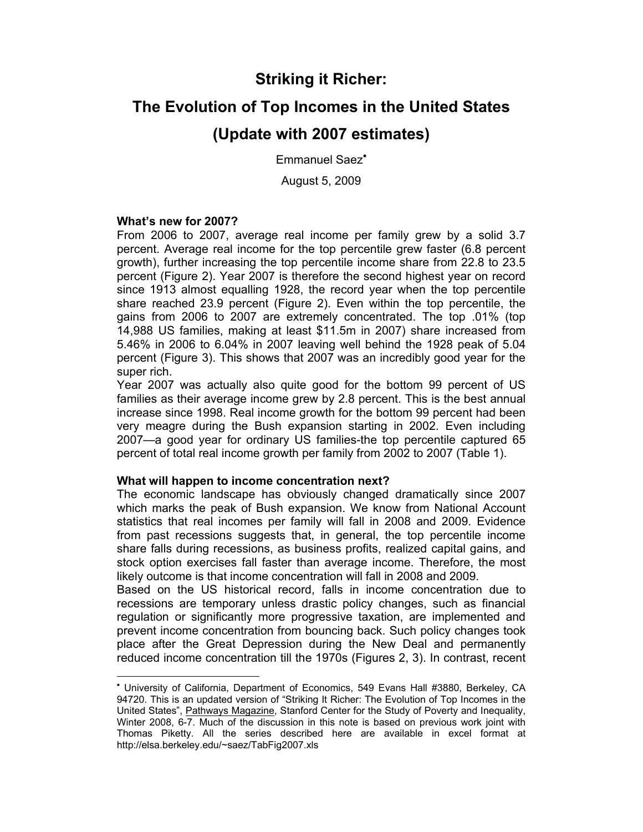# **Striking it Richer:**

## **The Evolution of Top Incomes in the United States**

## **(Update with 2007 estimates)**

Emmanuel Saez•

August 5, 2009

### **What's new for 2007?**

-

From 2006 to 2007, average real income per family grew by a solid 3.7 percent. Average real income for the top percentile grew faster (6.8 percent growth), further increasing the top percentile income share from 22.8 to 23.5 percent (Figure 2). Year 2007 is therefore the second highest year on record since 1913 almost equalling 1928, the record year when the top percentile share reached 23.9 percent (Figure 2). Even within the top percentile, the gains from 2006 to 2007 are extremely concentrated. The top .01% (top 14,988 US families, making at least \$11.5m in 2007) share increased from 5.46% in 2006 to 6.04% in 2007 leaving well behind the 1928 peak of 5.04 percent (Figure 3). This shows that 2007 was an incredibly good year for the super rich.

Year 2007 was actually also quite good for the bottom 99 percent of US families as their average income grew by 2.8 percent. This is the best annual increase since 1998. Real income growth for the bottom 99 percent had been very meagre during the Bush expansion starting in 2002. Even including 2007—a good year for ordinary US families-the top percentile captured 65 percent of total real income growth per family from 2002 to 2007 (Table 1).

#### **What will happen to income concentration next?**

The economic landscape has obviously changed dramatically since 2007 which marks the peak of Bush expansion. We know from National Account statistics that real incomes per family will fall in 2008 and 2009. Evidence from past recessions suggests that, in general, the top percentile income share falls during recessions, as business profits, realized capital gains, and stock option exercises fall faster than average income. Therefore, the most likely outcome is that income concentration will fall in 2008 and 2009.

Based on the US historical record, falls in income concentration due to recessions are temporary unless drastic policy changes, such as financial regulation or significantly more progressive taxation, are implemented and prevent income concentration from bouncing back. Such policy changes took place after the Great Depression during the New Deal and permanently reduced income concentration till the 1970s (Figures 2, 3). In contrast, recent

<sup>•</sup> University of California, Department of Economics, 549 Evans Hall #3880, Berkeley, CA 94720. This is an updated version of "Striking It Richer: The Evolution of Top Incomes in the United States", Pathways Magazine, Stanford Center for the Study of Poverty and Inequality, Winter 2008, 6-7. Much of the discussion in this note is based on previous work joint with Thomas Piketty. All the series described here are available in excel format at http://elsa.berkeley.edu/~saez/TabFig2007.xls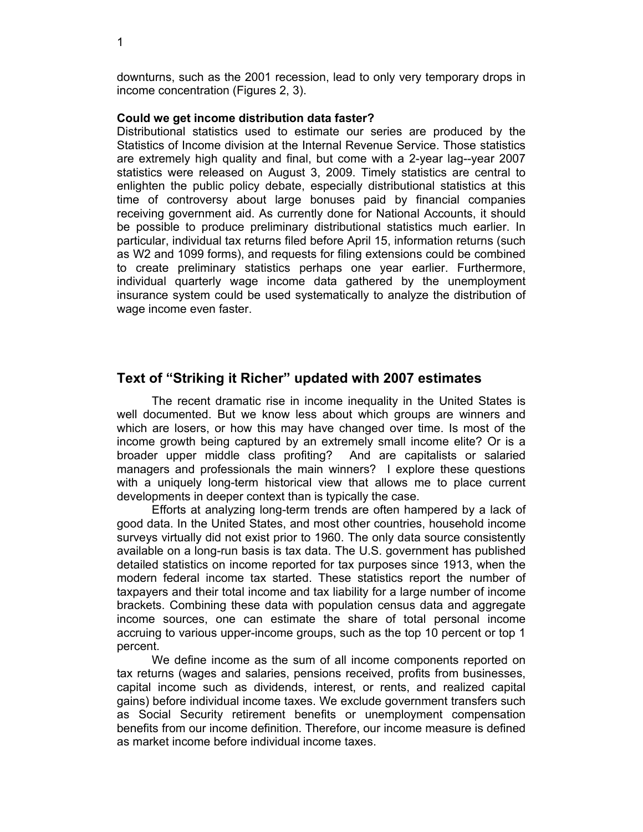downturns, such as the 2001 recession, lead to only very temporary drops in income concentration (Figures 2, 3).

#### **Could we get income distribution data faster?**

Distributional statistics used to estimate our series are produced by the Statistics of Income division at the Internal Revenue Service. Those statistics are extremely high quality and final, but come with a 2-year lag--year 2007 statistics were released on August 3, 2009. Timely statistics are central to enlighten the public policy debate, especially distributional statistics at this time of controversy about large bonuses paid by financial companies receiving government aid. As currently done for National Accounts, it should be possible to produce preliminary distributional statistics much earlier. In particular, individual tax returns filed before April 15, information returns (such as W2 and 1099 forms), and requests for filing extensions could be combined to create preliminary statistics perhaps one year earlier. Furthermore, individual quarterly wage income data gathered by the unemployment insurance system could be used systematically to analyze the distribution of wage income even faster.

### **Text of "Striking it Richer" updated with 2007 estimates**

The recent dramatic rise in income inequality in the United States is well documented. But we know less about which groups are winners and which are losers, or how this may have changed over time. Is most of the income growth being captured by an extremely small income elite? Or is a broader upper middle class profiting? And are capitalists or salaried managers and professionals the main winners? I explore these questions with a uniquely long-term historical view that allows me to place current developments in deeper context than is typically the case.

Efforts at analyzing long-term trends are often hampered by a lack of good data. In the United States, and most other countries, household income surveys virtually did not exist prior to 1960. The only data source consistently available on a long-run basis is tax data. The U.S. government has published detailed statistics on income reported for tax purposes since 1913, when the modern federal income tax started. These statistics report the number of taxpayers and their total income and tax liability for a large number of income brackets. Combining these data with population census data and aggregate income sources, one can estimate the share of total personal income accruing to various upper-income groups, such as the top 10 percent or top 1 percent.

We define income as the sum of all income components reported on tax returns (wages and salaries, pensions received, profits from businesses, capital income such as dividends, interest, or rents, and realized capital gains) before individual income taxes. We exclude government transfers such as Social Security retirement benefits or unemployment compensation benefits from our income definition. Therefore, our income measure is defined as market income before individual income taxes.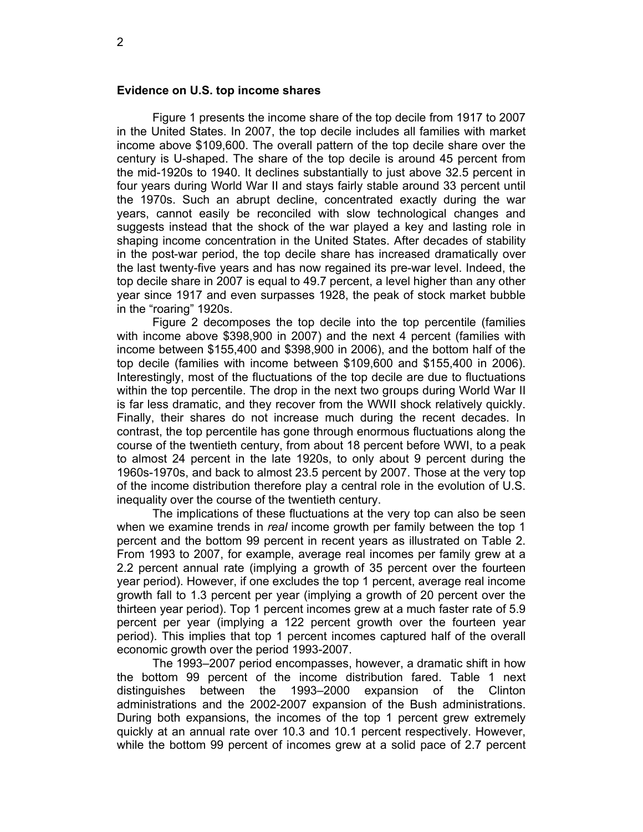#### **Evidence on U.S. top income shares**

Figure 1 presents the income share of the top decile from 1917 to 2007 in the United States. In 2007, the top decile includes all families with market income above \$109,600. The overall pattern of the top decile share over the century is U-shaped. The share of the top decile is around 45 percent from the mid-1920s to 1940. It declines substantially to just above 32.5 percent in four years during World War II and stays fairly stable around 33 percent until the 1970s. Such an abrupt decline, concentrated exactly during the war years, cannot easily be reconciled with slow technological changes and suggests instead that the shock of the war played a key and lasting role in shaping income concentration in the United States. After decades of stability in the post-war period, the top decile share has increased dramatically over the last twenty-five years and has now regained its pre-war level. Indeed, the top decile share in 2007 is equal to 49.7 percent, a level higher than any other year since 1917 and even surpasses 1928, the peak of stock market bubble in the "roaring" 1920s.

Figure 2 decomposes the top decile into the top percentile (families with income above \$398,900 in 2007) and the next 4 percent (families with income between \$155,400 and \$398,900 in 2006), and the bottom half of the top decile (families with income between \$109,600 and \$155,400 in 2006). Interestingly, most of the fluctuations of the top decile are due to fluctuations within the top percentile. The drop in the next two groups during World War II is far less dramatic, and they recover from the WWII shock relatively quickly. Finally, their shares do not increase much during the recent decades. In contrast, the top percentile has gone through enormous fluctuations along the course of the twentieth century, from about 18 percent before WWI, to a peak to almost 24 percent in the late 1920s, to only about 9 percent during the 1960s-1970s, and back to almost 23.5 percent by 2007. Those at the very top of the income distribution therefore play a central role in the evolution of U.S. inequality over the course of the twentieth century.

The implications of these fluctuations at the very top can also be seen when we examine trends in *real* income growth per family between the top 1 percent and the bottom 99 percent in recent years as illustrated on Table 2. From 1993 to 2007, for example, average real incomes per family grew at a 2.2 percent annual rate (implying a growth of 35 percent over the fourteen year period). However, if one excludes the top 1 percent, average real income growth fall to 1.3 percent per year (implying a growth of 20 percent over the thirteen year period). Top 1 percent incomes grew at a much faster rate of 5.9 percent per year (implying a 122 percent growth over the fourteen year period). This implies that top 1 percent incomes captured half of the overall economic growth over the period 1993-2007.

The 1993–2007 period encompasses, however, a dramatic shift in how the bottom 99 percent of the income distribution fared. Table 1 next distinguishes between the 1993–2000 expansion of the Clinton administrations and the 2002-2007 expansion of the Bush administrations. During both expansions, the incomes of the top 1 percent grew extremely quickly at an annual rate over 10.3 and 10.1 percent respectively. However, while the bottom 99 percent of incomes grew at a solid pace of 2.7 percent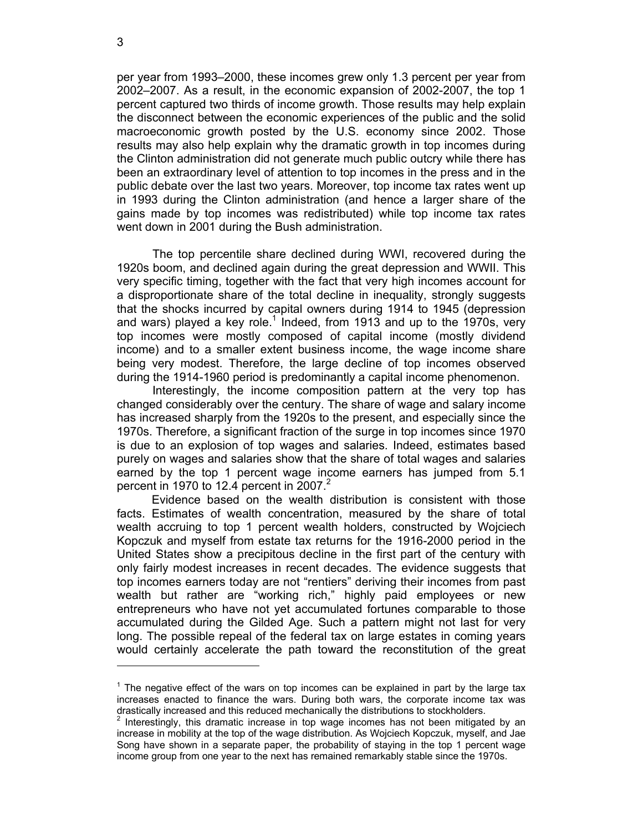per year from 1993–2000, these incomes grew only 1.3 percent per year from 2002–2007. As a result, in the economic expansion of 2002-2007, the top 1 percent captured two thirds of income growth. Those results may help explain the disconnect between the economic experiences of the public and the solid macroeconomic growth posted by the U.S. economy since 2002. Those results may also help explain why the dramatic growth in top incomes during the Clinton administration did not generate much public outcry while there has been an extraordinary level of attention to top incomes in the press and in the public debate over the last two years. Moreover, top income tax rates went up in 1993 during the Clinton administration (and hence a larger share of the gains made by top incomes was redistributed) while top income tax rates went down in 2001 during the Bush administration.

The top percentile share declined during WWI, recovered during the 1920s boom, and declined again during the great depression and WWII. This very specific timing, together with the fact that very high incomes account for a disproportionate share of the total decline in inequality, strongly suggests that the shocks incurred by capital owners during 1914 to 1945 (depression and wars) played a key role.<sup>1</sup> Indeed, from 1913 and up to the 1970s, very top incomes were mostly composed of capital income (mostly dividend income) and to a smaller extent business income, the wage income share being very modest. Therefore, the large decline of top incomes observed during the 1914-1960 period is predominantly a capital income phenomenon.

Interestingly, the income composition pattern at the very top has changed considerably over the century. The share of wage and salary income has increased sharply from the 1920s to the present, and especially since the 1970s. Therefore, a significant fraction of the surge in top incomes since 1970 is due to an explosion of top wages and salaries. Indeed, estimates based purely on wages and salaries show that the share of total wages and salaries earned by the top 1 percent wage income earners has jumped from 5.1 percent in 1970 to 12.4 percent in 2007. $^2$ 

 Evidence based on the wealth distribution is consistent with those facts. Estimates of wealth concentration, measured by the share of total wealth accruing to top 1 percent wealth holders, constructed by Wojciech Kopczuk and myself from estate tax returns for the 1916-2000 period in the United States show a precipitous decline in the first part of the century with only fairly modest increases in recent decades. The evidence suggests that top incomes earners today are not "rentiers" deriving their incomes from past wealth but rather are "working rich," highly paid employees or new entrepreneurs who have not yet accumulated fortunes comparable to those accumulated during the Gilded Age. Such a pattern might not last for very long. The possible repeal of the federal tax on large estates in coming years would certainly accelerate the path toward the reconstitution of the great

-

 $1$  The negative effect of the wars on top incomes can be explained in part by the large tax increases enacted to finance the wars. During both wars, the corporate income tax was drastically increased and this reduced mechanically the distributions to stockholders.

 $2$  Interestingly, this dramatic increase in top wage incomes has not been mitigated by an increase in mobility at the top of the wage distribution. As Wojciech Kopczuk, myself, and Jae Song have shown in a separate paper, the probability of staying in the top 1 percent wage income group from one year to the next has remained remarkably stable since the 1970s.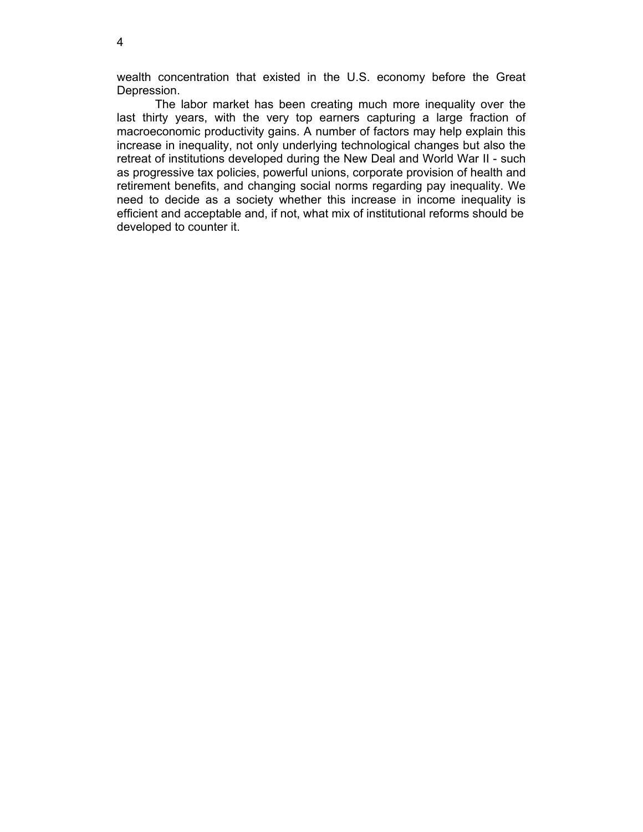wealth concentration that existed in the U.S. economy before the Great Depression.

 The labor market has been creating much more inequality over the last thirty years, with the very top earners capturing a large fraction of macroeconomic productivity gains. A number of factors may help explain this increase in inequality, not only underlying technological changes but also the retreat of institutions developed during the New Deal and World War II - such as progressive tax policies, powerful unions, corporate provision of health and retirement benefits, and changing social norms regarding pay inequality. We need to decide as a society whether this increase in income inequality is efficient and acceptable and, if not, what mix of institutional reforms should be developed to counter it.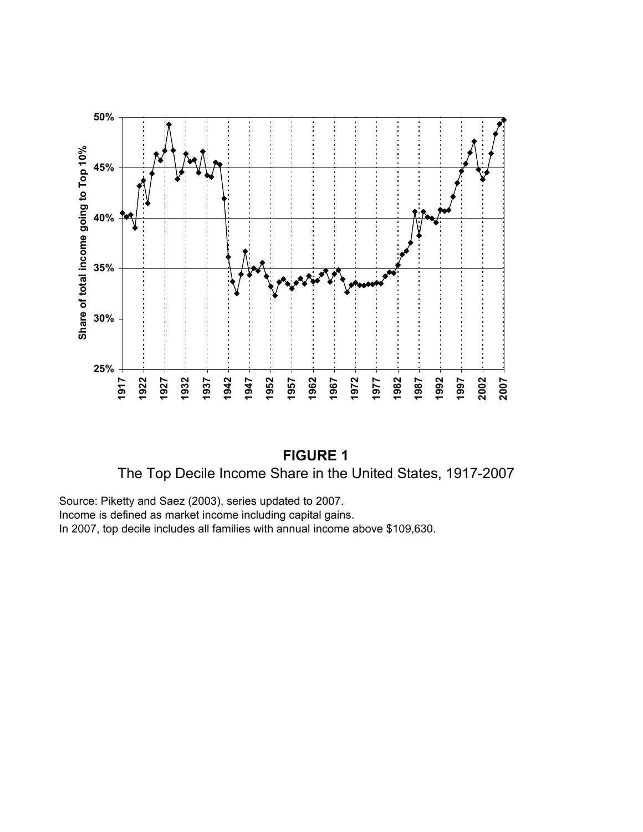



Source: Piketty and Saez (2003), series updated to 2007. Income is defined as market income including capital gains. In 2007, top decile includes all families with annual income above \$109,630.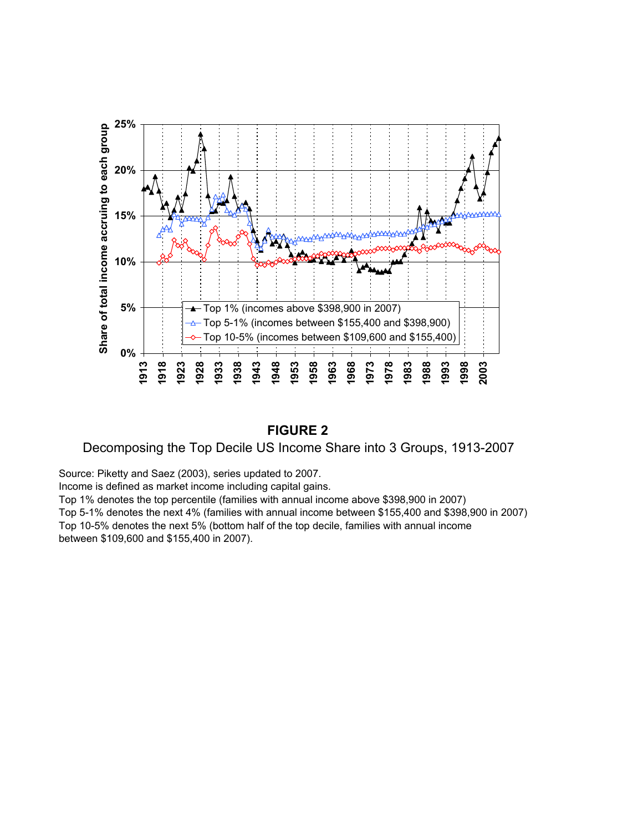

## **FIGURE 2**

## Decomposing the Top Decile US Income Share into 3 Groups, 1913-2007

Source: Piketty and Saez (2003), series updated to 2007.

Income is defined as market income including capital gains.

Top 1% denotes the top percentile (families with annual income above \$398,900 in 2007) Top 5-1% denotes the next 4% (families with annual income between \$155,400 and \$398,900 in 2007)

Top 10-5% denotes the next 5% (bottom half of the top decile, families with annual income between \$109,600 and \$155,400 in 2007).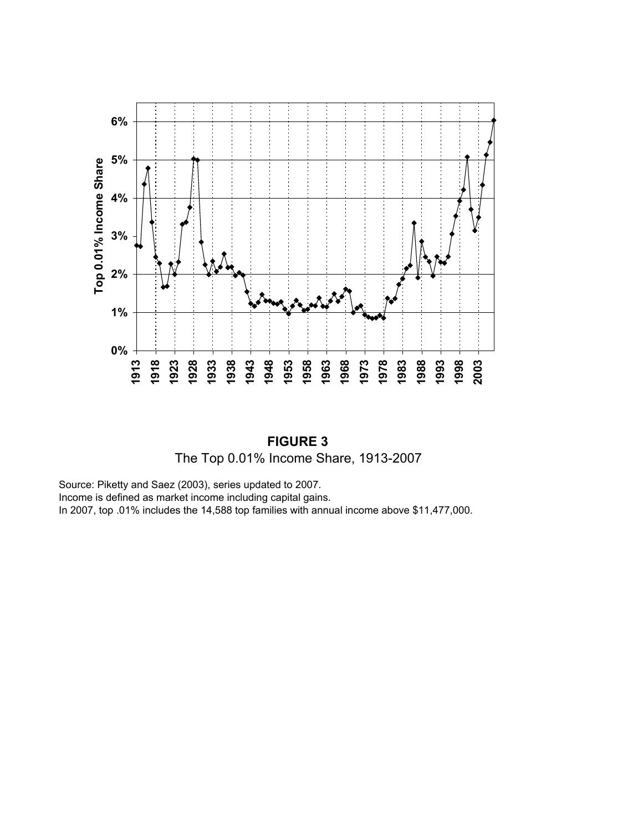

**FIGURE 3** The Top 0.01% Income Share, 1913-2007

Source: Piketty and Saez (2003), series updated to 2007.

Income is defined as market income including capital gains.

In 2007, top .01% includes the 14,588 top families with annual income above \$11,477,000.